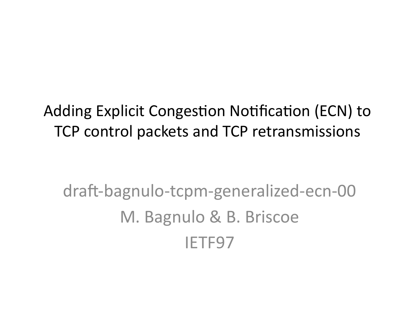#### Adding Explicit Congestion Notification (ECN) to TCP control packets and TCP retransmissions

### draft-bagnulo-tcpm-generalized-ecn-00 M. Bagnulo & B. Briscoe IETF97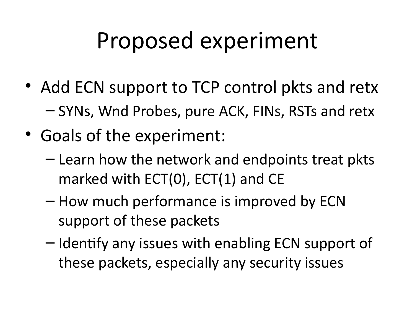### Proposed experiment

- Add ECN support to TCP control pkts and retx – SYNs, Wnd Probes, pure ACK, FINs, RSTs and retx
- Goals of the experiment:
	- Learn how the network and endpoints treat pkts marked with ECT(0), ECT(1) and CE
	- How much performance is improved by ECN support of these packets
	- Identify any issues with enabling ECN support of these packets, especially any security issues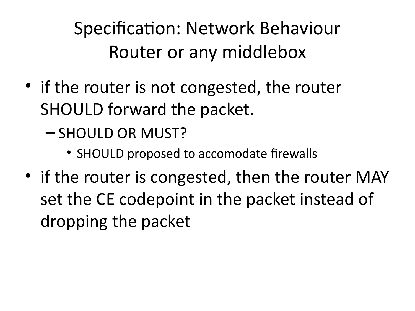Specification: Network Behaviour Router or any middlebox

• if the router is not congested, the router SHOULD forward the packet.

– SHOULD OR MUST?

- SHOULD proposed to accomodate firewalls
- if the router is congested, then the router MAY set the CE codepoint in the packet instead of dropping the packet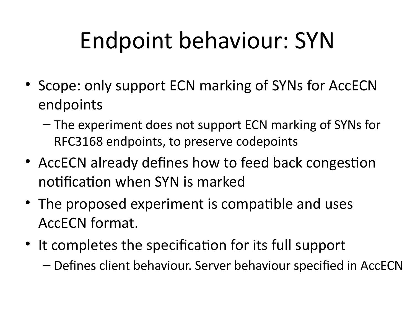# Endpoint behaviour: SYN

- Scope: only support ECN marking of SYNs for AccECN endpoints
	- The experiment does not support ECN marking of SYNs for RFC3168 endpoints, to preserve codepoints
- AccECN already defines how to feed back congestion notification when SYN is marked
- The proposed experiment is compatible and uses AccECN format.
- It completes the specification for its full support
	- Defines client behaviour. Server behaviour specified in AccECN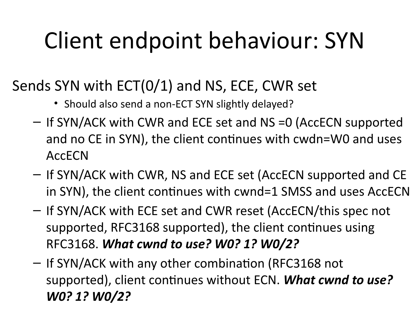# Client endpoint behaviour: SYN

#### Sends SYN with ECT(0/1) and NS, ECE, CWR set

- Should also send a non-ECT SYN slightly delayed?
- If SYN/ACK with CWR and ECE set and NS =0 (AccECN supported and no CE in SYN), the client continues with cwdn=W0 and uses AccECN
- If SYN/ACK with CWR, NS and ECE set (AccECN supported and CE in SYN), the client continues with cwnd=1 SMSS and uses AccECN
- If SYN/ACK with ECE set and CWR reset (AccECN/this spec not supported, RFC3168 supported), the client continues using RFC3168. *What cwnd to use? W0? 1? W0/2?*
- If SYN/ACK with any other combination (RFC3168 not supported), client continues without ECN. *What cwnd to use? W0? 1? W0/2?*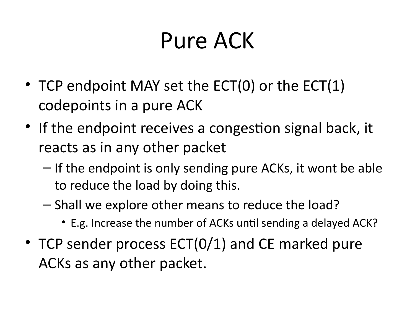### Pure ACK

- TCP endpoint MAY set the ECT(0) or the ECT(1) codepoints in a pure ACK
- If the endpoint receives a congestion signal back, it reacts as in any other packet
	- If the endpoint is only sending pure ACKs, it wont be able to reduce the load by doing this.
	- Shall we explore other means to reduce the load?
		- E.g. Increase the number of ACKs until sending a delayed ACK?
- TCP sender process ECT(0/1) and CE marked pure ACKs as any other packet.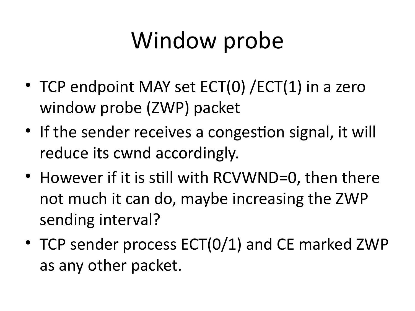## Window probe

- TCP endpoint MAY set ECT(0) / ECT(1) in a zero window probe (ZWP) packet
- If the sender receives a congestion signal, it will reduce its cwnd accordingly.
- However if it is still with RCVWND=0, then there not much it can do, maybe increasing the ZWP sending interval?
- TCP sender process ECT(0/1) and CE marked ZWP as any other packet.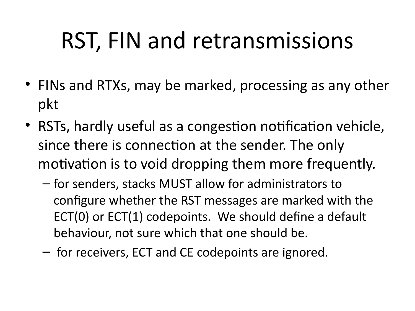## RST, FIN and retransmissions

- FINs and RTXs, may be marked, processing as any other pkt
- RSTs, hardly useful as a congestion notification vehicle, since there is connection at the sender. The only motivation is to void dropping them more frequently.
	- for senders, stacks MUST allow for administrators to configure whether the RST messages are marked with the ECT(0) or ECT(1) codepoints. We should define a default behaviour, not sure which that one should be.
	- for receivers, ECT and CE codepoints are ignored.